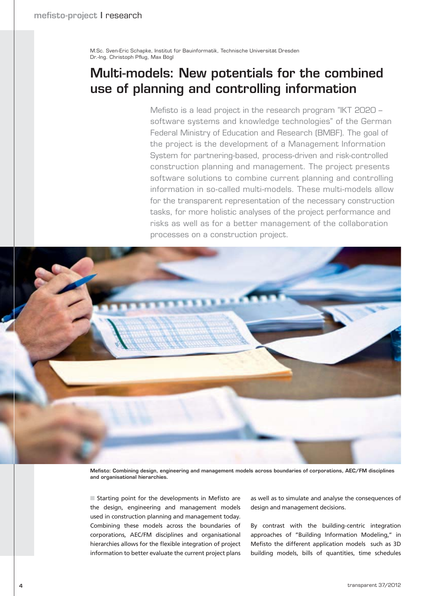M.Sc. Sven-Eric Schapke, Institut für Bauinformatik, Technische Universität Dresden Dr.-Ing. Christoph Pflug, Max Bögl

# **Multi-models: New potentials for the combined use of planning and controlling information**

Mefisto is a lead project in the research program "IKT 2020 – software systems and knowledge technologies" of the German Federal Ministry of Education and Research (BMBF). The goal of the project is the development of a Management Information System for partnering-based, process-driven and risk-controlled construction planning and management. The project presents software solutions to combine current planning and controlling information in so-called multi-models. These multi-models allow for the transparent representation of the necessary construction tasks, for more holistic analyses of the project performance and risks as well as for a better management of the collaboration processes on a construction project.



**Mefisto: Combining design, engineering and management models across boundaries of corporations, AEC/FM disciplines and organisational hierarchies.**

 $\blacksquare$  Starting point for the developments in Mefisto are the design, engineering and management models used in construction planning and management today. Combining these models across the boundaries of corporations, AEC/FM disciplines and organisational hierarchies allows for the flexible integration of project information to better evaluate the current project plans

as well as to simulate and analyse the consequences of design and management decisions.

By contrast with the building-centric integration approaches of "Building Information Modeling," in Mefisto the different application models such as 3D building models, bills of quantities, time schedules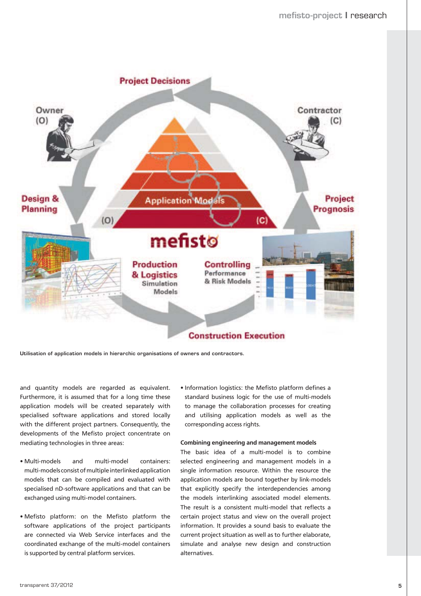

**Utilisation of application models in hierarchic organisations of owners and contractors.**

and quantity models are regarded as equivalent. Furthermore, it is assumed that for a long time these application models will be created separately with specialised software applications and stored locally with the different project partners. Consequently, the developments of the Mefisto project concentrate on mediating technologies in three areas:

- Multi-models and multi-model containers: multi-models consist of multiple interlinked application models that can be compiled and evaluated with specialised nD-software applications and that can be exchanged using multi-model containers.
- . Mefisto platform: on the Mefisto platform the software applications of the project participants are connected via Web Service interfaces and the coordinated exchange of the multi-model containers is supported by central platform services.

• Information logistics: the Mefisto platform defines a standard business logic for the use of multi-models to manage the collaboration processes for creating and utilising application models as well as the corresponding access rights.

#### **Combining engineering and management models**

The basic idea of a multi-model is to combine selected engineering and management models in a single information resource. Within the resource the application models are bound together by link-models that explicitly specify the interdependencies among the models interlinking associated model elements. The result is a consistent multi-model that reflects a certain project status and view on the overall project information. It provides a sound basis to evaluate the current project situation as well as to further elaborate, simulate and analyse new design and construction alternatives.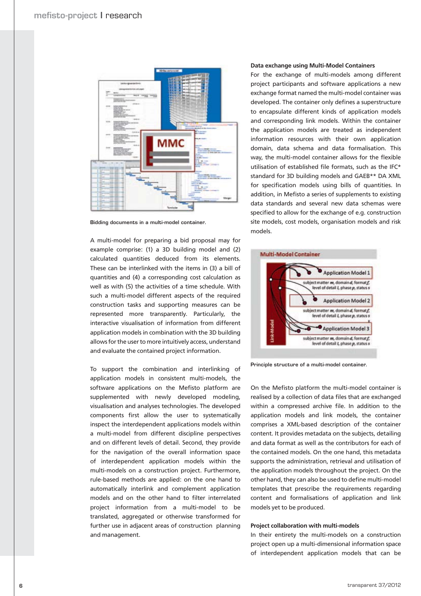

**Bidding documents in a multi-model container.**

A multi-model for preparing a bid proposal may for example comprise: (1) a 3D building model and (2) calculated quantities deduced from its elements. These can be interlinked with the items in (3) a bill of quantities and (4) a corresponding cost calculation as well as with (5) the activities of a time schedule. With such a multi-model different aspects of the required construction tasks and supporting measures can be represented more transparently. Particularly, the interactive visualisation of information from different application models in combination with the 3D building allows for the user to more intuitively access, understand and evaluate the contained project information.

To support the combination and interlinking of application models in consistent multi-models, the software applications on the Mefisto platform are supplemented with newly developed modeling, visualisation and analyses technologies. The developed components first allow the user to systematically inspect the interdependent applications models within a multi-model from different discipline perspectives and on different levels of detail. Second, they provide for the navigation of the overall information space of interdependent application models within the multi-models on a construction project. Furthermore, rule-based methods are applied: on the one hand to automatically interlink and complement application models and on the other hand to filter interrelated project information from a multi-model to be translated, aggregated or otherwise transformed for further use in adjacent areas of construction planning and management.

#### **Data exchange using Multi-Model Containers**

For the exchange of multi-models among different project participants and software applications a new exchange format named the multi-model container was developed. The container only defines a superstructure to encapsulate different kinds of application models and corresponding link models. Within the container the application models are treated as independent information resources with their own application domain, data schema and data formalisation. This way, the multi-model container allows for the flexible utilisation of established file formats, such as the IFC\* standard for 3D building models and GAEB\*\* DA XML for specification models using bills of quantities. In addition, in Mefisto a series of supplements to existing data standards and several new data schemas were specified to allow for the exchange of e.g. construction site models, cost models, organisation models and risk models.



**Principle structure of a multi-model container.**

On the Mefisto platform the multi-model container is realised by a collection of data files that are exchanged within a compressed archive file. In addition to the application models and link models, the container comprises a XML-based description of the container content. It provides metadata on the subjects, detailing and data format as well as the contributors for each of the contained models. On the one hand, this metadata supports the administration, retrieval and utilisation of the application models throughout the project. On the other hand, they can also be used to define multi-model templates that prescribe the requirements regarding content and formalisations of application and link models yet to be produced.

#### **Project collaboration with multi-models**

In their entirety the multi-models on a construction project open up a multi-dimensional information space of interdependent application models that can be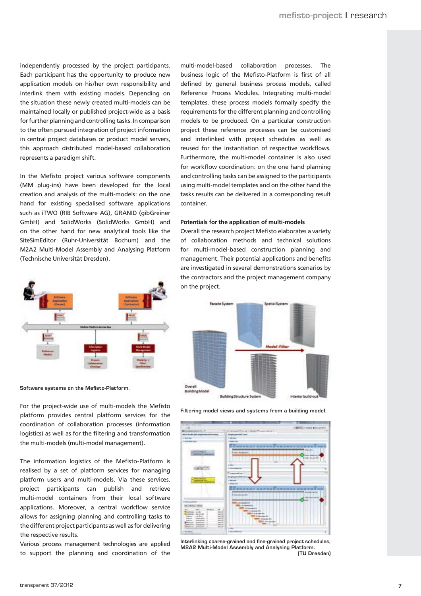independently processed by the project participants. Each participant has the opportunity to produce new application models on his/her own responsibility and interlink them with existing models. Depending on the situation these newly created multi-models can be maintained locally or published project-wide as a basis for further planning and controlling tasks. In comparison to the often pursued integration of project information in central project databases or product model servers, this approach distributed model-based collaboration represents a paradigm shift.

In the Mefisto project various software components (MM plug-ins) have been developed for the local creation and analysis of the multi-models: on the one hand for existing specialised software applications such as iTWO (RIB Software AG), GRANID (gibGreiner GmbH) and SolidWorks (SolidWorks GmbH) and on the other hand for new analytical tools like the SiteSimEditor (Ruhr-Universität Bochum) and the M2A2 Multi-Model Assembly and Analysing Platform (Technische Universität Dresden).



**Software systems on the Mefisto-Platform.**

For the project-wide use of multi-models the Mefisto platform provides central platform services for the coordination of collaboration processes (information logistics) as well as for the filtering and transformation the multi-models (multi-model management).

The information logistics of the Mefisto-Platform is realised by a set of platform services for managing platform users and multi-models. Via these services, project participants can publish and retrieve multi-model containers from their local software applications. Moreover, a central workflow service allows for assigning planning and controlling tasks to the different project participants as well as for delivering the respective results.

Various process management technologies are applied to support the planning and coordination of the multi-model-based collaboration processes. The business logic of the Mefisto-Platform is first of all defined by general business process models, called Reference Process Modules. Integrating multi-model templates, these process models formally specify the requirements for the different planning and controlling models to be produced. On a particular construction project these reference processes can be customised and interlinked with project schedules as well as reused for the instantiation of respective workflows. Furthermore, the multi-model container is also used for workflow coordination: on the one hand planning and controlling tasks can be assigned to the participants using multi-model templates and on the other hand the tasks results can be delivered in a corresponding result container.

### **Potentials for the application of multi-models**

Overall the research project Mefisto elaborates a variety of collaboration methods and technical solutions for multi-model-based construction planning and management. Their potential applications and benefits are investigated in several demonstrations scenarios by the contractors and the project management company on the project.



**Filtering model views and systems from a building model.**



**Interlinking coarse-grained and fine-grained project schedules, M2A2 Multi-Model Assembly and Analysing Platform. (TU Dresden)**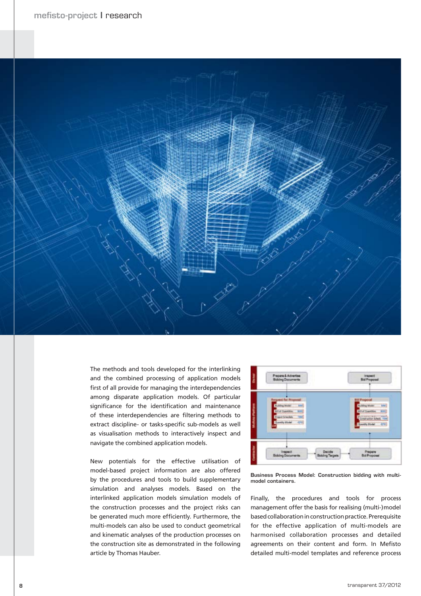

The methods and tools developed for the interlinking and the combined processing of application models first of all provide for managing the interdependencies among disparate application models. Of particular significance for the identification and maintenance of these interdependencies are filtering methods to extract discipline- or tasks-specific sub-models as well as visualisation methods to interactively inspect and navigate the combined application models.

New potentials for the effective utilisation of model-based project information are also offered by the procedures and tools to build supplementary simulation and analyses models. Based on the interlinked application models simulation models of the construction processes and the project risks can be generated much more efficiently. Furthermore, the multi-models can also be used to conduct geometrical and kinematic analyses of the production processes on the construction site as demonstrated in the following article by Thomas Hauber.



**Business Process Model: Construction bidding with multimodel containers.**

Finally, the procedures and tools for process management offer the basis for realising (multi-)model based collaboration in construction practice. Prerequisite for the effective application of multi-models are harmonised collaboration processes and detailed agreements on their content and form. In Mefisto detailed multi-model templates and reference process